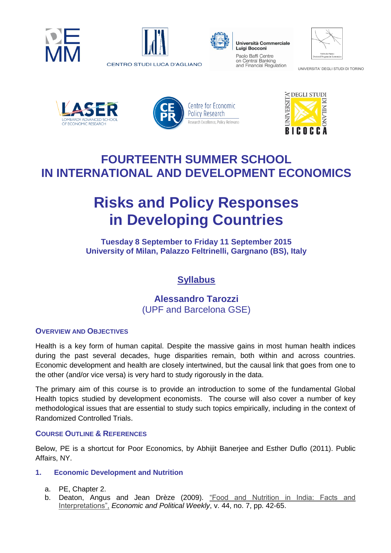





Luigi Bocconi Paolo Baffi Centre on Central Banking and Financial Regulation

| Vilfredo Pareto<br>Doctoral Program in Economics |
|--------------------------------------------------|

UNIVERSITA' DEGLI STUDI DI TORINO







# **FOURTEENTH SUMMER SCHOOL IN INTERNATIONAL AND DEVELOPMENT ECONOMICS**

# **Risks and Policy Responses in Developing Countries**

**Tuesday 8 September to Friday 11 September 2015 University of Milan, Palazzo Feltrinelli, Gargnano (BS), Italy**

## **Syllabus**

### **Alessandro Tarozzi** (UPF and Barcelona GSE)

#### **OVERVIEW AND OBJECTIVES**

Health is a key form of human capital. Despite the massive gains in most human health indices during the past several decades, huge disparities remain, both within and across countries. Economic development and health are closely intertwined, but the causal link that goes from one to the other (and/or vice versa) is very hard to study rigorously in the data.

The primary aim of this course is to provide an introduction to some of the fundamental Global Health topics studied by development economists. The course will also cover a number of key methodological issues that are essential to study such topics empirically, including in the context of Randomized Controlled Trials.

#### **COURSE OUTLINE & REFERENCES**

Below, PE is a shortcut for Poor Economics, by Abhijit Banerjee and Esther Duflo (2011). Public Affairs, NY.

#### **1. Economic Development and Nutrition**

- a. PE, Chapter 2.
- b. Deaton, Angus and Jean Drèze (2009). "Food and Nutrition in India: Facts and [Interpretations",](http://www.jstor.org/stable/40278509?seq=1#page_scan_tab_contents) *Economic and Political Weekly*, v. 44, no. 7, pp. 42-65.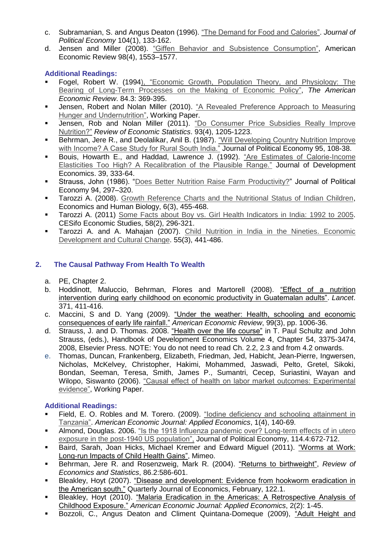- c. Subramanian, S. and Angus Deaton (1996). ["The Demand for Food and Calories".](http://www.jstor.org/stable/2138962?seq=1#page_scan_tab_contents) *Journal of Political Economy* 104(1), 133-162.
- d. Jensen and Miller (2008). ["Giffen Behavior and Subsistence Consumption",](http://www.econ.yale.edu/~dirkb/teach/pdf/j/jensen/2008-giffengood.pdf) American Economic Review 98(4), 1553–1577.

#### **Additional Readings:**

- Fogel, Robert W. (199[4\), "Economic Growth, Population Theory, and Physiology: The](http://www.nber.org/papers/w4638)  [Bearing of Long-Term Processes on the Making of Economic Policy",](http://www.nber.org/papers/w4638) *The American Economic Review*. 84.3: 369-395.
- Jensen, Robert and Nolan Miller (2010). "A Revealed Preference Approach to Measuring [Hunger and Undernutrition",](http://www.nber.org/papers/w16555) Working Paper.
- Jensen, Rob and Nolan Miller (2011). "Do Consumer Price Subsidies Really Improve [Nutrition?"](http://www.mitpressjournals.org/doi/abs/10.1162/rest_a_00118#.VbirS2ww8dU) *Review of Economic Statistics*. 93(4), 1205-1223.
- Behrman, Jere R., and Deolalikar, Anil B. (1987). "Will Developing Country Nutrition Improve [with Income? A Case Study for Rural South India."](http://www.jstor.org/stable/1831975?seq=1#page_scan_tab_contents) Journal of Political Economy 95, 108-38.
- Bouis, Howarth E., and Haddad, Lawrence J. (1992). ["Are Estimates of Calorie-Income](http://krishikosh.egranth.ac.in/bitstream/1/2055732/1/MPKV-2196.pdf)  [Elasticities Too High? A Recalibration of the Plausible Range."](http://krishikosh.egranth.ac.in/bitstream/1/2055732/1/MPKV-2196.pdf) Journal of Development Economics. 39, 333-64.
- Strauss, John (1986). ["Does Better Nutrition Raise Farm Productivity?"](http://www.jstor.org/stable/1837406?seq=1#page_scan_tab_contents) Journal of Political Economy 94, 297–320.
- Tarozzi A. (2008). [Growth Reference Charts and the Nutritional Status of Indian Children,](http://www.econ.upf.edu/~tarozzi/Tarozzi%202008%20Growth%20References%20India.pdf) Economics and Human Biology, 6(3), 455-468.
- Tarozzi A. (2011) [Some Facts about Boy vs. Girl Health Indicators in India: 1992 to 2005.](http://cesifo.oxfordjournals.org/content/58/2/296) CESifo Economic Studies, 58(2), 296-321.
- Tarozzi A. and A. Mahajan (2007). [Child Nutrition in India in the Nineties. Economic](http://eml.berkeley.edu/~webfac/emiguel/e271_s06/child.pdf)  [Development and Cultural Change.](http://eml.berkeley.edu/~webfac/emiguel/e271_s06/child.pdf) 55(3), 441-486.

#### **2. The Causal Pathway From Health To Wealth**

- a. PE, Chapter 2.
- b. Hoddinott, Maluccio, Behrman, Flores and Martorell (2008). ["Effect of a nutrition](http://www.sciencedirect.com/science/article/pii/S0140673608602056)  [intervention during early childhood on economic productivity in Guatemalan adults".](http://www.sciencedirect.com/science/article/pii/S0140673608602056) *Lancet*. 371, 411-416.
- c. Maccini, S and D. Yang (2009). ["Under the weather: Health, schooling and economic](http://www.nber.org/papers/w14031)  [consequences of early life rainfall."](http://www.nber.org/papers/w14031) *American Economic Review*, 99(3), pp. 1006-36.
- d. Strauss, J. and D. Thomas. 2008. ["Health over the life course"](http://papers.ccpr.ucla.edu/papers/PWP-CCPR-2007-011/PWP-CCPR-2007-011.pdf) in T. Paul Schultz and John Strauss, (eds.), Handbook of Development Economics Volume 4, Chapter 54, 3375-3474, 2008, Elsevier Press. NOTE: You do not need to read Ch. 2.2, 2.3 and from 4.2 onwards.
- e. Thomas, Duncan, Frankenberg, Elizabeth, Friedman, Jed, Habicht, Jean-Pierre, Ingwersen, Nicholas, McKelvey, Christopher, Hakimi, Mohammed, Jaswadi, Pelto, Gretel, Sikoki, Bondan, Seeman, Teresa, Smith, James P., Sumantri, Cecep, Suriastini, Wayan and Wilopo, Siswanto (2006). ["Causal effect of health on labor market outcomes: Experimental](http://escholarship.org/uc/item/0g28k77w)  [evidence",](http://escholarship.org/uc/item/0g28k77w) Working Paper.

#### **Additional Readings:**

- Field, E. O. Robles and M. Torero. (2009). ["Iodine deficiency and schooling attainment in](http://www.jstor.org/stable/25760185?seq=1#page_scan_tab_contents)  [Tanzania".](http://www.jstor.org/stable/25760185?seq=1#page_scan_tab_contents) *American Economic Journal: Applied Economics*, 1(4), 140-69.
- Almond, Douglas. 2006. ["Is the 1918 Influenza pandemic over? Long-term effects of in utero](http://isites.harvard.edu/fs/docs/icb.topic1377262.files/Health%20and%20Mortality/almond.pdf)  [exposure in the post-1940 US population",](http://isites.harvard.edu/fs/docs/icb.topic1377262.files/Health%20and%20Mortality/almond.pdf) Journal of Political Economy, 114.4:672-712.
- Baird, Sarah, Joan Hicks, Michael Kremer and Edward Miguel (2011). ["Worms at Work:](http://files.givewell.org/files/DWDA%202009/Interventions/Deworming/MK%20Reanalysis/KLPS-Labor_2012-08-05.pdf)  [Long-run Impacts of Child Health Gains",](http://files.givewell.org/files/DWDA%202009/Interventions/Deworming/MK%20Reanalysis/KLPS-Labor_2012-08-05.pdf) Mimeo.
- Behrman, Jere R. and Rosenzweig, Mark R. (2004). ["Returns to birthweight",](http://www.mitpressjournals.org/doi/abs/10.1162/003465304323031139#.Vbis2Gww8dU) *Review of Economics and Statistics*, 86.2:586-601.
- Bleakley, Hoyt (2007). ["Disease and development: Evidence from hookworm eradication in](http://qje.oxfordjournals.org/content/122/1/73.abstract)  [the American south."](http://qje.oxfordjournals.org/content/122/1/73.abstract) Quarterly Journal of Economics, February, 122.1.
- Bleakley, Hoyt (2010). ["Malaria Eradication in the Americas: A Retrospective Analysis of](http://www.ncbi.nlm.nih.gov/pmc/articles/PMC3810960/)  [Childhood Exposure."](http://www.ncbi.nlm.nih.gov/pmc/articles/PMC3810960/) *American Economic Journal: Applied Economics*, 2(2): 1-45.
- Bozzoli, C., Angus Deaton and Climent Quintana-Domeque (2009), "Adult Height and